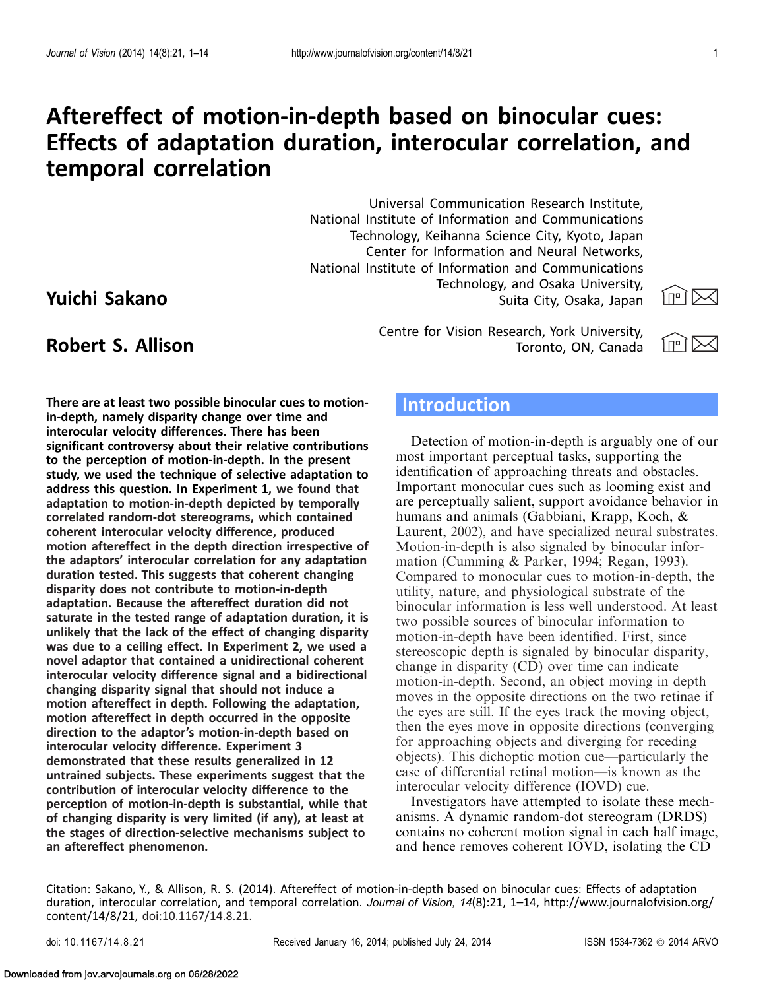# <span id="page-0-0"></span>Aftereffect of motion-in-depth based on binocular cues: Effects of adaptation duration, interocular correlation, and temporal correlation

### **Yuichi Sakano**  $\overline{S}$   $\overline{S}$   $\overline{S}$   $\overline{S}$   $\overline{S}$   $\overline{S}$   $\overline{S}$   $\overline{S}$   $\overline{S}$   $\overline{S}$   $\overline{S}$   $\overline{S}$   $\overline{S}$   $\overline{S}$   $\overline{S}$   $\overline{S}$   $\overline{S}$   $\overline{S}$   $\overline{S}$   $\overline{S}$   $\overline{S}$   $\overline{S}$   $\overline{S}$ Technology, Keihanna Science City, Kyoto, Japan Center for Information and Neural Networks, National Institute of Information and Communications Technology, and Osaka University, Suita City, Osaka, Japan



**Robert S. Allison**  $\blacksquare$   $\blacksquare$   $\blacksquare$   $\blacksquare$   $\blacksquare$   $\blacksquare$   $\blacksquare$   $\blacksquare$   $\blacksquare$   $\blacksquare$   $\blacksquare$   $\blacksquare$   $\blacksquare$   $\blacksquare$   $\blacksquare$   $\blacksquare$   $\blacksquare$   $\blacksquare$   $\blacksquare$   $\blacksquare$   $\blacksquare$   $\blacksquare$   $\blacksquare$   $\blacksquare$   $\blacksquare$   $\blacksquare$   $\blacksquare$   $\blacksquare$   $\blacksquare$ Toronto, ON, Canada

Universal Communication Research Institute,

National Institute of Information and Communications



There are at least two possible binocular cues to motionin-depth, namely disparity change over time and interocular velocity differences. There has been significant controversy about their relative contributions to the perception of motion-in-depth. In the present study, we used the technique of selective adaptation to address this question. In [Experiment 1,](#page-3-0) we found that adaptation to motion-in-depth depicted by temporally correlated random-dot stereograms, which contained coherent interocular velocity difference, produced motion aftereffect in the depth direction irrespective of the adaptors' interocular correlation for any adaptation duration tested. This suggests that coherent changing disparity does not contribute to motion-in-depth adaptation. Because the aftereffect duration did not saturate in the tested range of adaptation duration, it is unlikely that the lack of the effect of changing disparity was due to a ceiling effect. In [Experiment 2,](#page-5-0) we used a novel adaptor that contained a unidirectional coherent interocular velocity difference signal and a bidirectional changing disparity signal that should not induce a motion aftereffect in depth. Following the adaptation, motion aftereffect in depth occurred in the opposite direction to the adaptor's motion-in-depth based on interocular velocity difference. [Experiment 3](#page-7-0) demonstrated that these results generalized in 12 untrained subjects. These experiments suggest that the contribution of interocular velocity difference to the perception of motion-in-depth is substantial, while that of changing disparity is very limited (if any), at least at the stages of direction-selective mechanisms subject to an aftereffect phenomenon.

# Introduction

Detection of motion-in-depth is arguably one of our most important perceptual tasks, supporting the identification of approaching threats and obstacles. Important monocular cues such as looming exist and are perceptually salient, support avoidance behavior in humans and animals (Gabbiani, Krapp, Koch, & Laurent, [2002\)](#page-12-0), and have specialized neural substrates. Motion-in-depth is also signaled by binocular information (Cumming & Parker, [1994](#page-12-0); Regan, [1993\)](#page-12-0). Compared to monocular cues to motion-in-depth, the utility, nature, and physiological substrate of the binocular information is less well understood. At least two possible sources of binocular information to motion-in-depth have been identified. First, since stereoscopic depth is signaled by binocular disparity, change in disparity (CD) over time can indicate motion-in-depth. Second, an object moving in depth moves in the opposite directions on the two retinae if the eyes are still. If the eyes track the moving object, then the eyes move in opposite directions (converging for approaching objects and diverging for receding objects). This dichoptic motion cue—particularly the case of differential retinal motion—is known as the interocular velocity difference (IOVD) cue.

Investigators have attempted to isolate these mechanisms. A dynamic random-dot stereogram (DRDS) contains no coherent motion signal in each half image, and hence removes coherent IOVD, isolating the CD

Citation: Sakano, Y., & Allison, R. S. (2014). Aftereffect of motion-in-depth based on binocular cues: Effects of adaptation duration, interocular correlation, and temporal correlation. Journal of Vision, 14(8):21, 1-14, http://www.journalofvision.org/ content/14/8/21, doi:10.1167/14.8.21.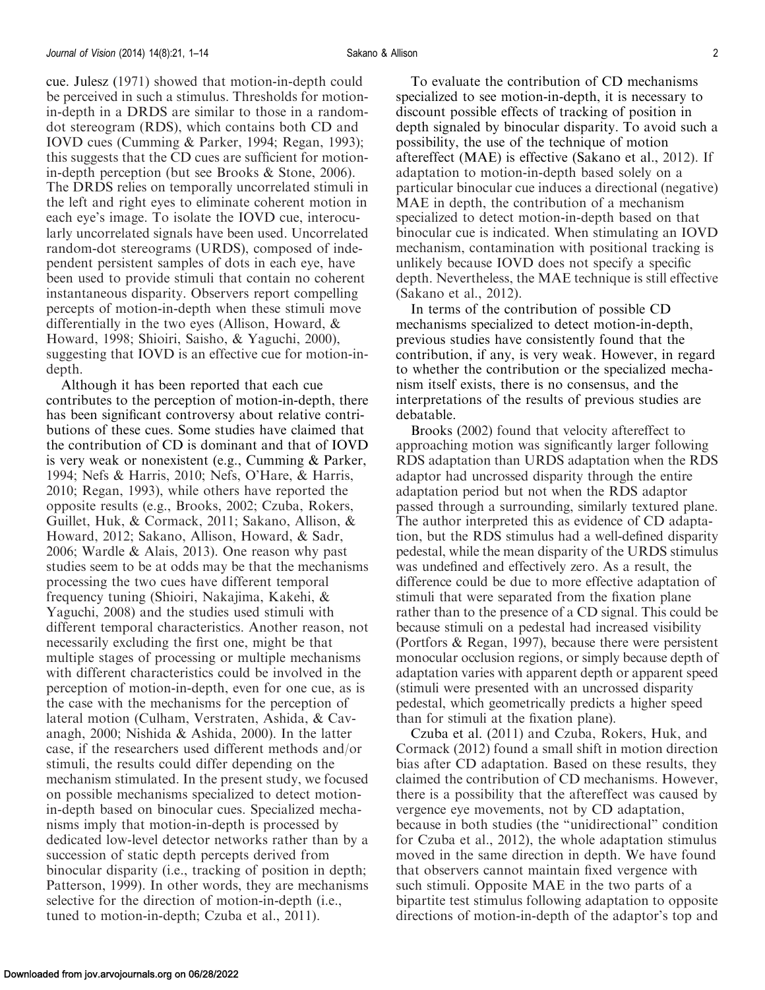cue. Julesz [\(1971](#page-12-0)) showed that motion-in-depth could be perceived in such a stimulus. Thresholds for motionin-depth in a DRDS are similar to those in a randomdot stereogram (RDS), which contains both CD and IOVD cues (Cumming & Parker, [1994](#page-12-0); Regan, [1993\)](#page-12-0); this suggests that the CD cues are sufficient for motionin-depth perception (but see Brooks & Stone, [2006](#page-11-0)). The DRDS relies on temporally uncorrelated stimuli in the left and right eyes to eliminate coherent motion in each eye's image. To isolate the IOVD cue, interocularly uncorrelated signals have been used. Uncorrelated random-dot stereograms (URDS), composed of independent persistent samples of dots in each eye, have been used to provide stimuli that contain no coherent instantaneous disparity. Observers report compelling percepts of motion-in-depth when these stimuli move differentially in the two eyes (Allison, Howard, & Howard, [1998](#page-11-0); Shioiri, Saisho, & Yaguchi, [2000\)](#page-13-0), suggesting that IOVD is an effective cue for motion-indepth.

Although it has been reported that each cue contributes to the perception of motion-in-depth, there has been significant controversy about relative contributions of these cues. Some studies have claimed that the contribution of CD is dominant and that of IOVD is very weak or nonexistent (e.g., Cumming & Parker, [1994;](#page-12-0) Nefs & Harris, [2010;](#page-12-0) Nefs, O'Hare, & Harris, [2010;](#page-12-0) Regan, [1993](#page-12-0)), while others have reported the opposite results (e.g., Brooks, [2002](#page-11-0); Czuba, Rokers, Guillet, Huk, & Cormack, [2011;](#page-12-0) Sakano, Allison, & Howard, [2012](#page-12-0); Sakano, Allison, Howard, & Sadr, [2006;](#page-12-0) Wardle & Alais, [2013](#page-13-0)). One reason why past studies seem to be at odds may be that the mechanisms processing the two cues have different temporal frequency tuning (Shioiri, Nakajima, Kakehi, & Yaguchi, [2008\)](#page-13-0) and the studies used stimuli with different temporal characteristics. Another reason, not necessarily excluding the first one, might be that multiple stages of processing or multiple mechanisms with different characteristics could be involved in the perception of motion-in-depth, even for one cue, as is the case with the mechanisms for the perception of lateral motion (Culham, Verstraten, Ashida, & Cavanagh, [2000](#page-12-0); Nishida & Ashida, [2000\)](#page-12-0). In the latter case, if the researchers used different methods and/or stimuli, the results could differ depending on the mechanism stimulated. In the present study, we focused on possible mechanisms specialized to detect motionin-depth based on binocular cues. Specialized mechanisms imply that motion-in-depth is processed by dedicated low-level detector networks rather than by a succession of static depth percepts derived from binocular disparity (i.e., tracking of position in depth; Patterson, [1999](#page-12-0)). In other words, they are mechanisms selective for the direction of motion-in-depth (i.e., tuned to motion-in-depth; Czuba et al., [2011\)](#page-12-0).

To evaluate the contribution of CD mechanisms specialized to see motion-in-depth, it is necessary to discount possible effects of tracking of position in depth signaled by binocular disparity. To avoid such a possibility, the use of the technique of motion aftereffect (MAE) is effective (Sakano et al., [2012\)](#page-12-0). If adaptation to motion-in-depth based solely on a particular binocular cue induces a directional (negative) MAE in depth, the contribution of a mechanism specialized to detect motion-in-depth based on that binocular cue is indicated. When stimulating an IOVD mechanism, contamination with positional tracking is unlikely because IOVD does not specify a specific depth. Nevertheless, the MAE technique is still effective (Sakano et al., [2012](#page-12-0)).

In terms of the contribution of possible CD mechanisms specialized to detect motion-in-depth, previous studies have consistently found that the contribution, if any, is very weak. However, in regard to whether the contribution or the specialized mechanism itself exists, there is no consensus, and the interpretations of the results of previous studies are debatable.

Brooks [\(2002\)](#page-11-0) found that velocity aftereffect to approaching motion was significantly larger following RDS adaptation than URDS adaptation when the RDS adaptor had uncrossed disparity through the entire adaptation period but not when the RDS adaptor passed through a surrounding, similarly textured plane. The author interpreted this as evidence of CD adaptation, but the RDS stimulus had a well-defined disparity pedestal, while the mean disparity of the URDS stimulus was undefined and effectively zero. As a result, the difference could be due to more effective adaptation of stimuli that were separated from the fixation plane rather than to the presence of a CD signal. This could be because stimuli on a pedestal had increased visibility (Portfors & Regan, [1997](#page-12-0)), because there were persistent monocular occlusion regions, or simply because depth of adaptation varies with apparent depth or apparent speed (stimuli were presented with an uncrossed disparity pedestal, which geometrically predicts a higher speed than for stimuli at the fixation plane).

Czuba et al. ([2011](#page-12-0)) and Czuba, Rokers, Huk, and Cormack ([2012\)](#page-12-0) found a small shift in motion direction bias after CD adaptation. Based on these results, they claimed the contribution of CD mechanisms. However, there is a possibility that the aftereffect was caused by vergence eye movements, not by CD adaptation, because in both studies (the ''unidirectional'' condition for Czuba et al., [2012](#page-12-0)), the whole adaptation stimulus moved in the same direction in depth. We have found that observers cannot maintain fixed vergence with such stimuli. Opposite MAE in the two parts of a bipartite test stimulus following adaptation to opposite directions of motion-in-depth of the adaptor's top and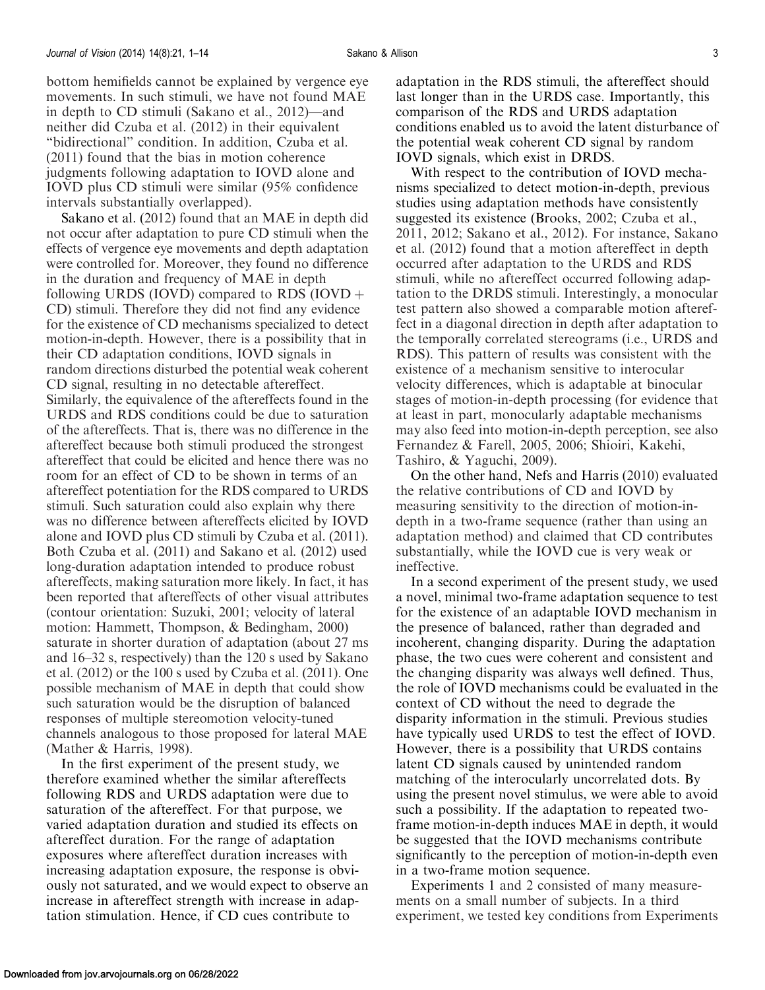bottom hemifields cannot be explained by vergence eye movements. In such stimuli, we have not found MAE in depth to CD stimuli (Sakano et al., [2012\)](#page-12-0)—and neither did Czuba et al. ([2012](#page-12-0)) in their equivalent ''bidirectional'' condition. In addition, Czuba et al. ([2011\)](#page-12-0) found that the bias in motion coherence judgments following adaptation to IOVD alone and IOVD plus CD stimuli were similar (95% confidence intervals substantially overlapped).

Sakano et al. ([2012](#page-12-0)) found that an MAE in depth did not occur after adaptation to pure CD stimuli when the effects of vergence eye movements and depth adaptation were controlled for. Moreover, they found no difference in the duration and frequency of MAE in depth following URDS (IOVD) compared to RDS (IOVD  $+$ CD) stimuli. Therefore they did not find any evidence for the existence of CD mechanisms specialized to detect motion-in-depth. However, there is a possibility that in their CD adaptation conditions, IOVD signals in random directions disturbed the potential weak coherent CD signal, resulting in no detectable aftereffect. Similarly, the equivalence of the aftereffects found in the URDS and RDS conditions could be due to saturation of the aftereffects. That is, there was no difference in the aftereffect because both stimuli produced the strongest aftereffect that could be elicited and hence there was no room for an effect of CD to be shown in terms of an aftereffect potentiation for the RDS compared to URDS stimuli. Such saturation could also explain why there was no difference between aftereffects elicited by IOVD alone and IOVD plus CD stimuli by Czuba et al. [\(2011\)](#page-12-0). Both Czuba et al. ([2011](#page-12-0)) and Sakano et al. [\(2012\)](#page-12-0) used long-duration adaptation intended to produce robust aftereffects, making saturation more likely. In fact, it has been reported that aftereffects of other visual attributes (contour orientation: Suzuki, [2001;](#page-13-0) velocity of lateral motion: Hammett, Thompson, & Bedingham, [2000](#page-12-0)) saturate in shorter duration of adaptation (about 27 ms and 16–32 s, respectively) than the 120 s used by Sakano et al. [\(2012\)](#page-12-0) or the 100 s used by Czuba et al. [\(2011\)](#page-12-0). One possible mechanism of MAE in depth that could show such saturation would be the disruption of balanced responses of multiple stereomotion velocity-tuned channels analogous to those proposed for lateral MAE (Mather & Harris, [1998\)](#page-12-0).

In the first experiment of the present study, we therefore examined whether the similar aftereffects following RDS and URDS adaptation were due to saturation of the aftereffect. For that purpose, we varied adaptation duration and studied its effects on aftereffect duration. For the range of adaptation exposures where aftereffect duration increases with increasing adaptation exposure, the response is obviously not saturated, and we would expect to observe an increase in aftereffect strength with increase in adaptation stimulation. Hence, if CD cues contribute to

adaptation in the RDS stimuli, the aftereffect should last longer than in the URDS case. Importantly, this comparison of the RDS and URDS adaptation conditions enabled us to avoid the latent disturbance of the potential weak coherent CD signal by random IOVD signals, which exist in DRDS.

With respect to the contribution of IOVD mechanisms specialized to detect motion-in-depth, previous studies using adaptation methods have consistently suggested its existence (Brooks, [2002;](#page-11-0) Czuba et al., [2011, 2012](#page-12-0); Sakano et al., [2012](#page-12-0)). For instance, Sakano et al. ([2012\)](#page-12-0) found that a motion aftereffect in depth occurred after adaptation to the URDS and RDS stimuli, while no aftereffect occurred following adaptation to the DRDS stimuli. Interestingly, a monocular test pattern also showed a comparable motion aftereffect in a diagonal direction in depth after adaptation to the temporally correlated stereograms (i.e., URDS and RDS). This pattern of results was consistent with the existence of a mechanism sensitive to interocular velocity differences, which is adaptable at binocular stages of motion-in-depth processing (for evidence that at least in part, monocularly adaptable mechanisms may also feed into motion-in-depth perception, see also Fernandez & Farell, [2005](#page-12-0), [2006;](#page-12-0) Shioiri, Kakehi, Tashiro, & Yaguchi, [2009\)](#page-13-0).

On the other hand, Nefs and Harris ([2010\)](#page-12-0) evaluated the relative contributions of CD and IOVD by measuring sensitivity to the direction of motion-indepth in a two-frame sequence (rather than using an adaptation method) and claimed that CD contributes substantially, while the IOVD cue is very weak or ineffective.

In a second experiment of the present study, we used a novel, minimal two-frame adaptation sequence to test for the existence of an adaptable IOVD mechanism in the presence of balanced, rather than degraded and incoherent, changing disparity. During the adaptation phase, the two cues were coherent and consistent and the changing disparity was always well defined. Thus, the role of IOVD mechanisms could be evaluated in the context of CD without the need to degrade the disparity information in the stimuli. Previous studies have typically used URDS to test the effect of IOVD. However, there is a possibility that URDS contains latent CD signals caused by unintended random matching of the interocularly uncorrelated dots. By using the present novel stimulus, we were able to avoid such a possibility. If the adaptation to repeated twoframe motion-in-depth induces MAE in depth, it would be suggested that the IOVD mechanisms contribute significantly to the perception of motion-in-depth even in a two-frame motion sequence.

[Experiments 1](#page-3-0) and [2](#page-5-0) consisted of many measurements on a small number of subjects. In a third experiment, we tested key conditions from [Experiments](#page-3-0)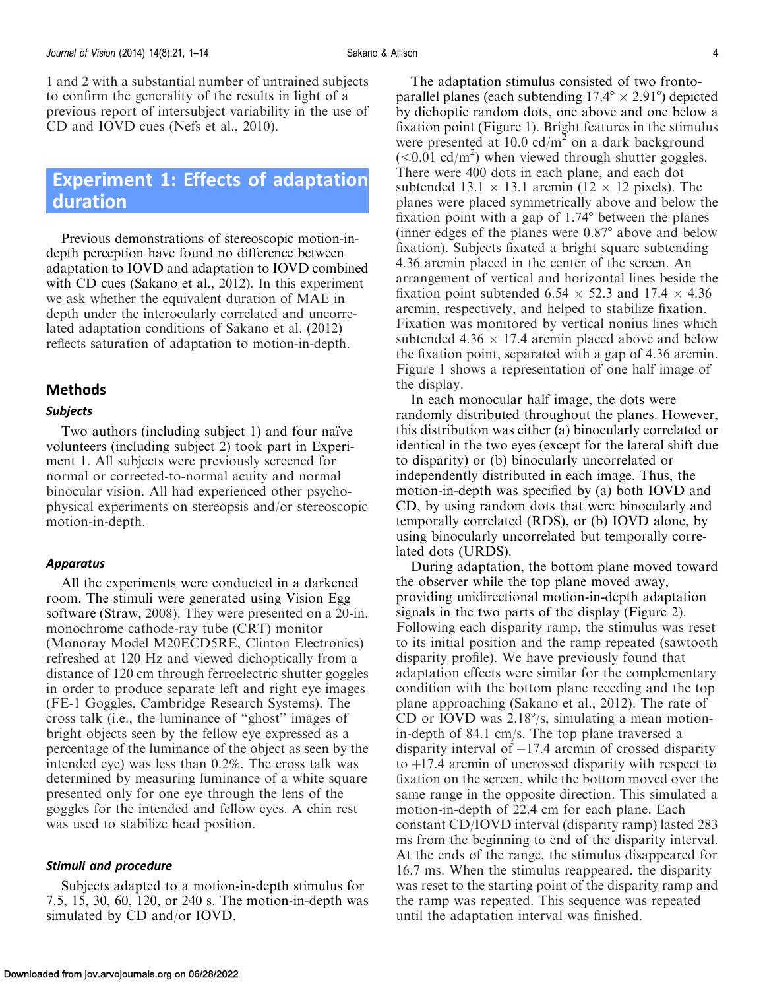<span id="page-3-0"></span>1 and [2](#page-5-0) with a substantial number of untrained subjects to confirm the generality of the results in light of a previous report of intersubject variability in the use of CD and IOVD cues (Nefs et al., [2010](#page-12-0)).

# Experiment 1: Effects of adaptation duration

Previous demonstrations of stereoscopic motion-indepth perception have found no difference between adaptation to IOVD and adaptation to IOVD combined with CD cues (Sakano et al., [2012\)](#page-12-0). In this experiment we ask whether the equivalent duration of MAE in depth under the interocularly correlated and uncorrelated adaptation conditions of Sakano et al. [\(2012\)](#page-12-0) reflects saturation of adaptation to motion-in-depth.

### Methods

#### Subjects

Two authors (including subject 1) and four naïve volunteers (including subject 2) took part in Experiment 1. All subjects were previously screened for normal or corrected-to-normal acuity and normal binocular vision. All had experienced other psychophysical experiments on stereopsis and/or stereoscopic motion-in-depth.

#### Apparatus

All the experiments were conducted in a darkened room. The stimuli were generated using Vision Egg software (Straw, [2008](#page-13-0)). They were presented on a 20-in. monochrome cathode-ray tube (CRT) monitor (Monoray Model M20ECD5RE, Clinton Electronics) refreshed at 120 Hz and viewed dichoptically from a distance of 120 cm through ferroelectric shutter goggles in order to produce separate left and right eye images (FE-1 Goggles, Cambridge Research Systems). The cross talk (i.e., the luminance of ''ghost'' images of bright objects seen by the fellow eye expressed as a percentage of the luminance of the object as seen by the intended eye) was less than 0.2%. The cross talk was determined by measuring luminance of a white square presented only for one eye through the lens of the goggles for the intended and fellow eyes. A chin rest was used to stabilize head position.

#### Stimuli and procedure

Subjects adapted to a motion-in-depth stimulus for 7.5, 15, 30, 60, 120, or 240 s. The motion-in-depth was simulated by CD and/or IOVD.

The adaptation stimulus consisted of two frontoparallel planes (each subtending  $17.4^{\circ} \times 2.91^{\circ}$ ) depicted by dichoptic random dots, one above and one below a fixation point ([Figure 1\)](#page-4-0). Bright features in the stimulus were presented at 10.0  $\text{cd/m}^2$  on a dark background  $(< 0.01$  cd/m<sup>2</sup>) when viewed through shutter goggles. There were 400 dots in each plane, and each dot subtended 13.1  $\times$  13.1 arcmin (12  $\times$  12 pixels). The planes were placed symmetrically above and below the fixation point with a gap of  $1.74^{\circ}$  between the planes (inner edges of the planes were  $0.87^{\circ}$  above and below fixation). Subjects fixated a bright square subtending 4.36 arcmin placed in the center of the screen. An arrangement of vertical and horizontal lines beside the fixation point subtended 6.54  $\times$  52.3 and 17.4  $\times$  4.36 arcmin, respectively, and helped to stabilize fixation. Fixation was monitored by vertical nonius lines which subtended 4.36  $\times$  17.4 arcmin placed above and below the fixation point, separated with a gap of 4.36 arcmin. [Figure 1](#page-4-0) shows a representation of one half image of the display.

In each monocular half image, the dots were randomly distributed throughout the planes. However, this distribution was either (a) binocularly correlated or identical in the two eyes (except for the lateral shift due to disparity) or (b) binocularly uncorrelated or independently distributed in each image. Thus, the motion-in-depth was specified by (a) both IOVD and CD, by using random dots that were binocularly and temporally correlated (RDS), or (b) IOVD alone, by using binocularly uncorrelated but temporally correlated dots (URDS).

During adaptation, the bottom plane moved toward the observer while the top plane moved away, providing unidirectional motion-in-depth adaptation signals in the two parts of the display [\(Figure 2](#page-4-0)). Following each disparity ramp, the stimulus was reset to its initial position and the ramp repeated (sawtooth disparity profile). We have previously found that adaptation effects were similar for the complementary condition with the bottom plane receding and the top plane approaching (Sakano et al., [2012\)](#page-12-0). The rate of CD or IOVD was  $2.18^{\circ}/s$ , simulating a mean motionin-depth of 84.1 cm/s. The top plane traversed a disparity interval of  $-17.4$  arcmin of crossed disparity to  $+17.4$  arcmin of uncrossed disparity with respect to fixation on the screen, while the bottom moved over the same range in the opposite direction. This simulated a motion-in-depth of 22.4 cm for each plane. Each constant CD/IOVD interval (disparity ramp) lasted 283 ms from the beginning to end of the disparity interval. At the ends of the range, the stimulus disappeared for 16.7 ms. When the stimulus reappeared, the disparity was reset to the starting point of the disparity ramp and the ramp was repeated. This sequence was repeated until the adaptation interval was finished.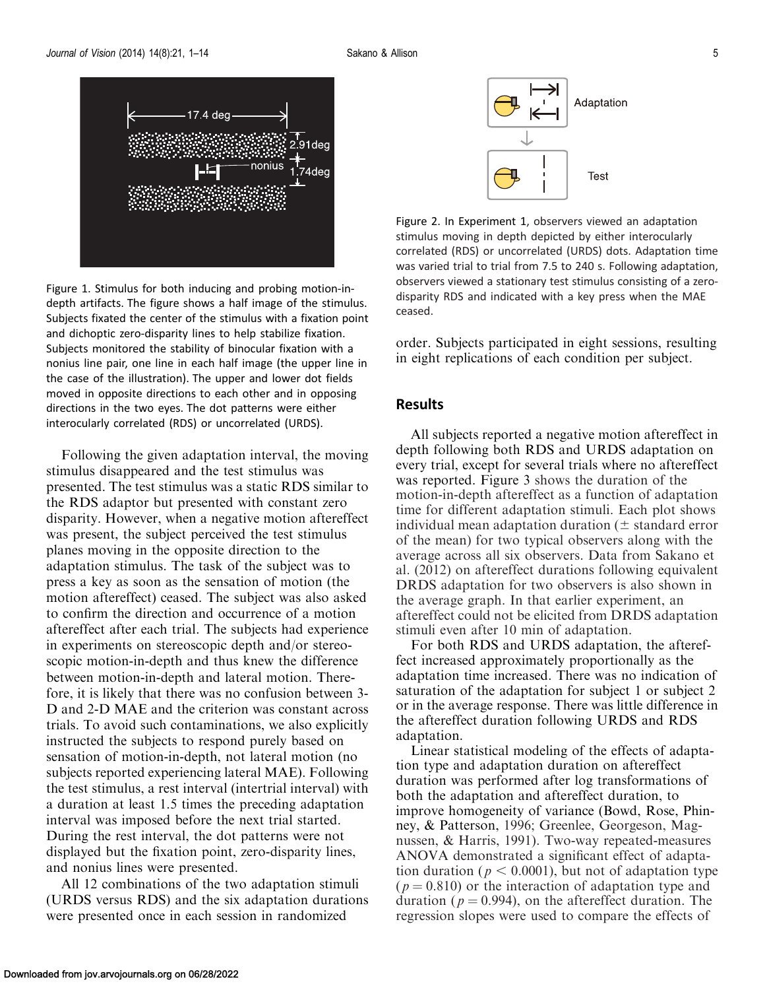<span id="page-4-0"></span>

Figure 1. Stimulus for both inducing and probing motion-indepth artifacts. The figure shows a half image of the stimulus. Subjects fixated the center of the stimulus with a fixation point and dichoptic zero-disparity lines to help stabilize fixation. Subjects monitored the stability of binocular fixation with a nonius line pair, one line in each half image (the upper line in the case of the illustration). The upper and lower dot fields moved in opposite directions to each other and in opposing directions in the two eyes. The dot patterns were either interocularly correlated (RDS) or uncorrelated (URDS).

Following the given adaptation interval, the moving stimulus disappeared and the test stimulus was presented. The test stimulus was a static RDS similar to the RDS adaptor but presented with constant zero disparity. However, when a negative motion aftereffect was present, the subject perceived the test stimulus planes moving in the opposite direction to the adaptation stimulus. The task of the subject was to press a key as soon as the sensation of motion (the motion aftereffect) ceased. The subject was also asked to confirm the direction and occurrence of a motion aftereffect after each trial. The subjects had experience in experiments on stereoscopic depth and/or stereoscopic motion-in-depth and thus knew the difference between motion-in-depth and lateral motion. Therefore, it is likely that there was no confusion between 3- D and 2-D MAE and the criterion was constant across trials. To avoid such contaminations, we also explicitly instructed the subjects to respond purely based on sensation of motion-in-depth, not lateral motion (no subjects reported experiencing lateral MAE). Following the test stimulus, a rest interval (intertrial interval) with a duration at least 1.5 times the preceding adaptation interval was imposed before the next trial started. During the rest interval, the dot patterns were not displayed but the fixation point, zero-disparity lines, and nonius lines were presented.

All 12 combinations of the two adaptation stimuli (URDS versus RDS) and the six adaptation durations were presented once in each session in randomized



Figure 2. In [Experiment 1,](#page-3-0) observers viewed an adaptation stimulus moving in depth depicted by either interocularly correlated (RDS) or uncorrelated (URDS) dots. Adaptation time was varied trial to trial from 7.5 to 240 s. Following adaptation, observers viewed a stationary test stimulus consisting of a zerodisparity RDS and indicated with a key press when the MAE ceased.

order. Subjects participated in eight sessions, resulting in eight replications of each condition per subject.

### Results

All subjects reported a negative motion aftereffect in depth following both RDS and URDS adaptation on every trial, except for several trials where no aftereffect was reported. [Figure 3](#page-5-0) shows the duration of the motion-in-depth aftereffect as a function of adaptation time for different adaptation stimuli. Each plot shows individual mean adaptation duration  $(\pm$  standard error of the mean) for two typical observers along with the average across all six observers. Data from Sakano et al. ([2012](#page-12-0)) on aftereffect durations following equivalent DRDS adaptation for two observers is also shown in the average graph. In that earlier experiment, an aftereffect could not be elicited from DRDS adaptation stimuli even after 10 min of adaptation.

For both RDS and URDS adaptation, the aftereffect increased approximately proportionally as the adaptation time increased. There was no indication of saturation of the adaptation for subject 1 or subject 2 or in the average response. There was little difference in the aftereffect duration following URDS and RDS adaptation.

Linear statistical modeling of the effects of adaptation type and adaptation duration on aftereffect duration was performed after log transformations of both the adaptation and aftereffect duration, to improve homogeneity of variance (Bowd, Rose, Phinney, & Patterson, [1996](#page-11-0); Greenlee, Georgeson, Magnussen, & Harris, [1991\)](#page-12-0). Two-way repeated-measures ANOVA demonstrated a significant effect of adaptation duration ( $p < 0.0001$ ), but not of adaptation type  $(p = 0.810)$  or the interaction of adaptation type and duration ( $p = 0.994$ ), on the aftereffect duration. The regression slopes were used to compare the effects of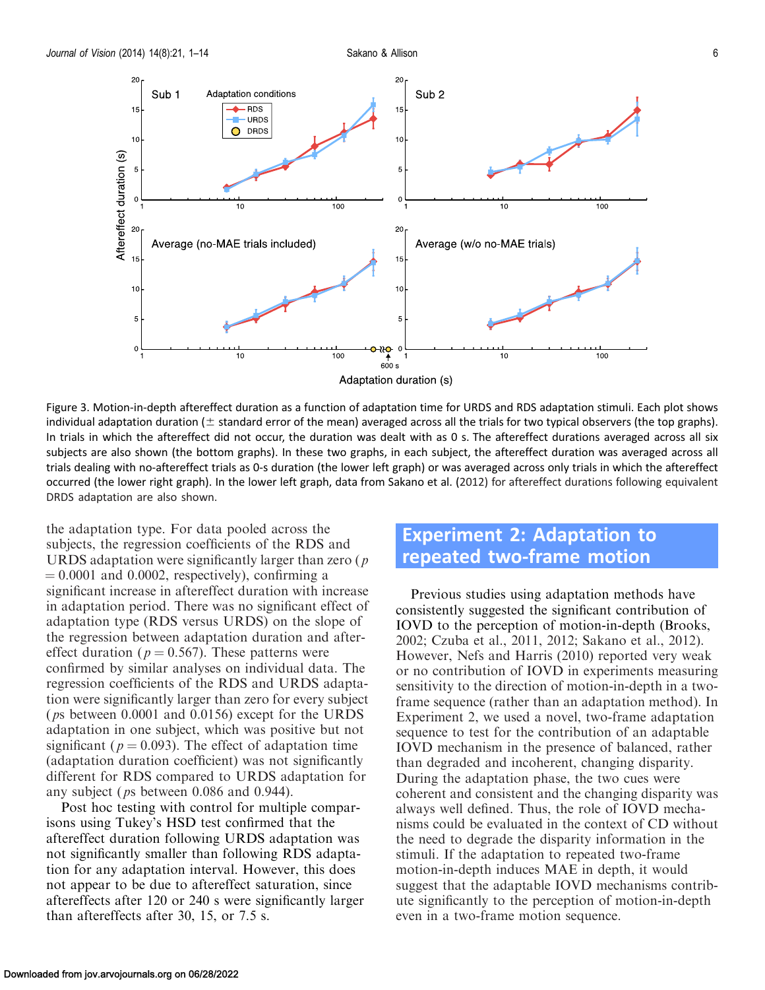<span id="page-5-0"></span>

Figure 3. Motion-in-depth aftereffect duration as a function of adaptation time for URDS and RDS adaptation stimuli. Each plot shows individual adaptation duration  $(±$  standard error of the mean) averaged across all the trials for two typical observers (the top graphs). In trials in which the aftereffect did not occur, the duration was dealt with as 0 s. The aftereffect durations averaged across all six subjects are also shown (the bottom graphs). In these two graphs, in each subject, the aftereffect duration was averaged across all trials dealing with no-aftereffect trials as 0-s duration (the lower left graph) or was averaged across only trials in which the aftereffect occurred (the lower right graph). In the lower left graph, data from Sakano et al. ([2012\)](#page-12-0) for aftereffect durations following equivalent DRDS adaptation are also shown.

the adaptation type. For data pooled across the subjects, the regression coefficients of the RDS and URDS adaptation were significantly larger than zero ( $p$ )  $= 0.0001$  and 0.0002, respectively), confirming a significant increase in aftereffect duration with increase in adaptation period. There was no significant effect of adaptation type (RDS versus URDS) on the slope of the regression between adaptation duration and aftereffect duration ( $p = 0.567$ ). These patterns were confirmed by similar analyses on individual data. The regression coefficients of the RDS and URDS adaptation were significantly larger than zero for every subject ( $ps$  between 0.0001 and 0.0156) except for the URDS adaptation in one subject, which was positive but not significant ( $p = 0.093$ ). The effect of adaptation time (adaptation duration coefficient) was not significantly different for RDS compared to URDS adaptation for any subject ( ps between 0.086 and 0.944).

Post hoc testing with control for multiple comparisons using Tukey's HSD test confirmed that the aftereffect duration following URDS adaptation was not significantly smaller than following RDS adaptation for any adaptation interval. However, this does not appear to be due to aftereffect saturation, since aftereffects after 120 or 240 s were significantly larger than aftereffects after 30, 15, or 7.5 s.

# Experiment 2: Adaptation to repeated two-frame motion

Previous studies using adaptation methods have consistently suggested the significant contribution of IOVD to the perception of motion-in-depth (Brooks, [2002;](#page-11-0) Czuba et al., [2011](#page-12-0), [2012;](#page-12-0) Sakano et al., [2012](#page-12-0)). However, Nefs and Harris ([2010\)](#page-12-0) reported very weak or no contribution of IOVD in experiments measuring sensitivity to the direction of motion-in-depth in a twoframe sequence (rather than an adaptation method). In Experiment 2, we used a novel, two-frame adaptation sequence to test for the contribution of an adaptable IOVD mechanism in the presence of balanced, rather than degraded and incoherent, changing disparity. During the adaptation phase, the two cues were coherent and consistent and the changing disparity was always well defined. Thus, the role of IOVD mechanisms could be evaluated in the context of CD without the need to degrade the disparity information in the stimuli. If the adaptation to repeated two-frame motion-in-depth induces MAE in depth, it would suggest that the adaptable IOVD mechanisms contribute significantly to the perception of motion-in-depth even in a two-frame motion sequence.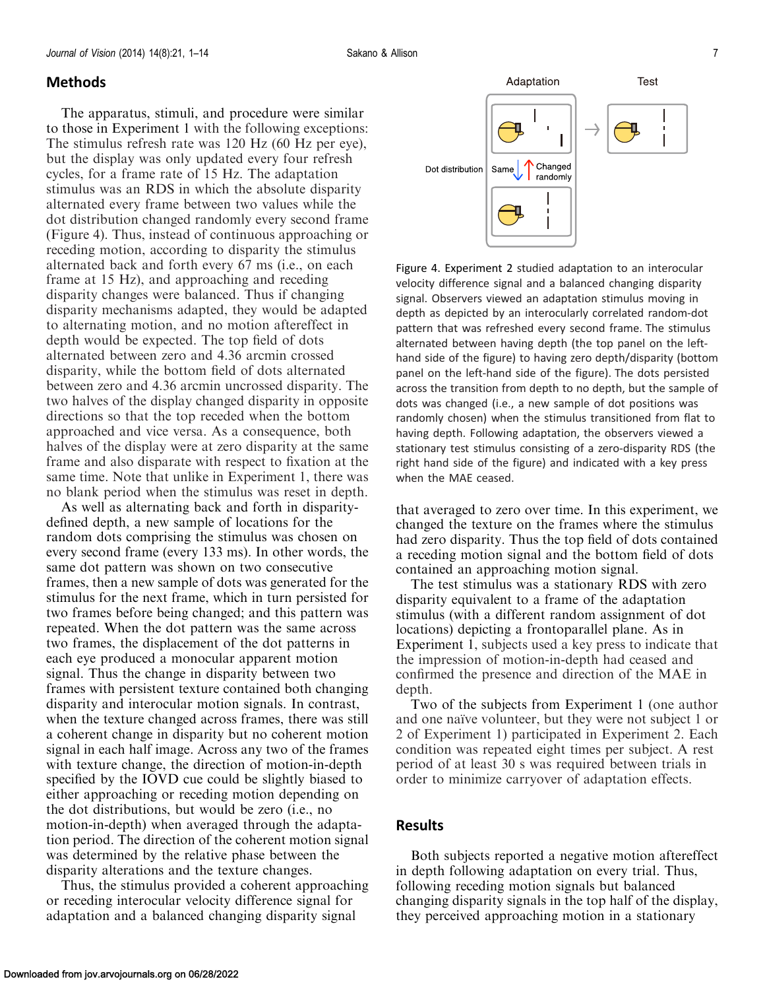# Methods

The apparatus, stimuli, and procedure were similar to those in [Experiment 1](#page-3-0) with the following exceptions: The stimulus refresh rate was 120 Hz (60 Hz per eye), but the display was only updated every four refresh cycles, for a frame rate of 15 Hz. The adaptation stimulus was an RDS in which the absolute disparity alternated every frame between two values while the dot distribution changed randomly every second frame (Figure 4). Thus, instead of continuous approaching or receding motion, according to disparity the stimulus alternated back and forth every 67 ms (i.e., on each frame at 15 Hz), and approaching and receding disparity changes were balanced. Thus if changing disparity mechanisms adapted, they would be adapted to alternating motion, and no motion aftereffect in depth would be expected. The top field of dots alternated between zero and 4.36 arcmin crossed disparity, while the bottom field of dots alternated between zero and 4.36 arcmin uncrossed disparity. The two halves of the display changed disparity in opposite directions so that the top receded when the bottom approached and vice versa. As a consequence, both halves of the display were at zero disparity at the same frame and also disparate with respect to fixation at the same time. Note that unlike in [Experiment 1](#page-3-0), there was no blank period when the stimulus was reset in depth.

As well as alternating back and forth in disparitydefined depth, a new sample of locations for the random dots comprising the stimulus was chosen on every second frame (every 133 ms). In other words, the same dot pattern was shown on two consecutive frames, then a new sample of dots was generated for the stimulus for the next frame, which in turn persisted for two frames before being changed; and this pattern was repeated. When the dot pattern was the same across two frames, the displacement of the dot patterns in each eye produced a monocular apparent motion signal. Thus the change in disparity between two frames with persistent texture contained both changing disparity and interocular motion signals. In contrast, when the texture changed across frames, there was still a coherent change in disparity but no coherent motion signal in each half image. Across any two of the frames with texture change, the direction of motion-in-depth specified by the IOVD cue could be slightly biased to either approaching or receding motion depending on the dot distributions, but would be zero (i.e., no motion-in-depth) when averaged through the adaptation period. The direction of the coherent motion signal was determined by the relative phase between the disparity alterations and the texture changes.

Thus, the stimulus provided a coherent approaching or receding interocular velocity difference signal for adaptation and a balanced changing disparity signal



Figure 4. [Experiment 2](#page-5-0) studied adaptation to an interocular velocity difference signal and a balanced changing disparity signal. Observers viewed an adaptation stimulus moving in depth as depicted by an interocularly correlated random-dot pattern that was refreshed every second frame. The stimulus alternated between having depth (the top panel on the lefthand side of the figure) to having zero depth/disparity (bottom panel on the left-hand side of the figure). The dots persisted across the transition from depth to no depth, but the sample of dots was changed (i.e., a new sample of dot positions was randomly chosen) when the stimulus transitioned from flat to having depth. Following adaptation, the observers viewed a stationary test stimulus consisting of a zero-disparity RDS (the right hand side of the figure) and indicated with a key press when the MAE ceased.

that averaged to zero over time. In this experiment, we changed the texture on the frames where the stimulus had zero disparity. Thus the top field of dots contained a receding motion signal and the bottom field of dots contained an approaching motion signal.

The test stimulus was a stationary RDS with zero disparity equivalent to a frame of the adaptation stimulus (with a different random assignment of dot locations) depicting a frontoparallel plane. As in [Experiment 1,](#page-3-0) subjects used a key press to indicate that the impression of motion-in-depth had ceased and confirmed the presence and direction of the MAE in depth.

Two of the subjects from [Experiment 1](#page-3-0) (one author and one naïve volunteer, but they were not subject 1 or 2 of [Experiment 1](#page-3-0)) participated in [Experiment 2.](#page-5-0) Each condition was repeated eight times per subject. A rest period of at least 30 s was required between trials in order to minimize carryover of adaptation effects.

### Results

Both subjects reported a negative motion aftereffect in depth following adaptation on every trial. Thus, following receding motion signals but balanced changing disparity signals in the top half of the display, they perceived approaching motion in a stationary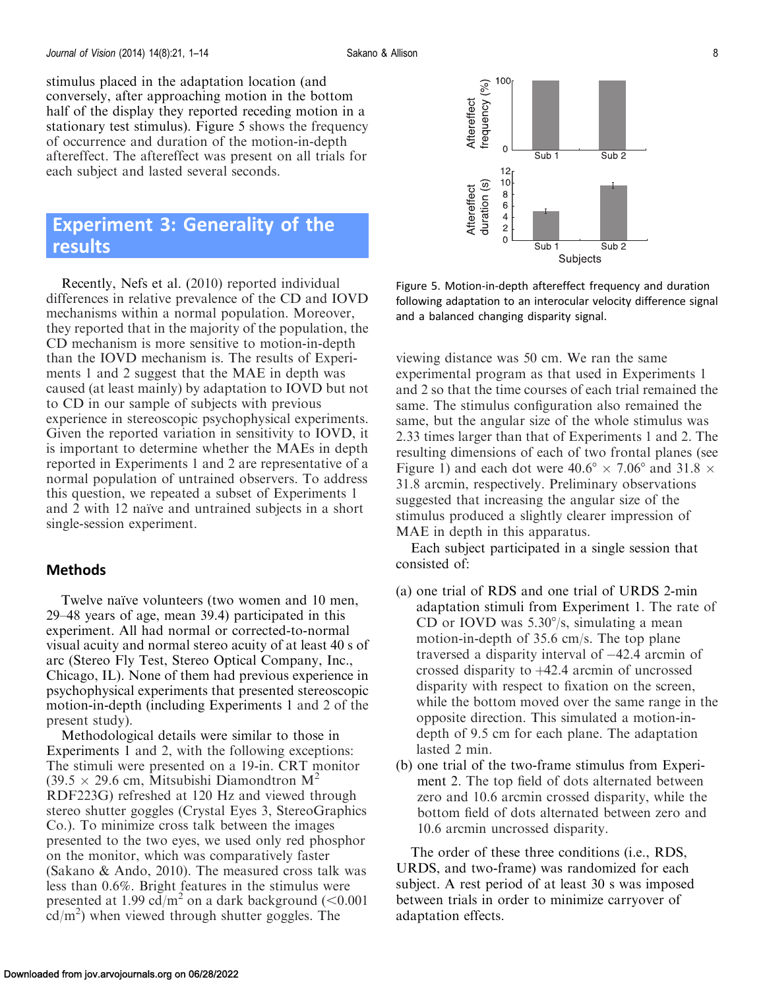<span id="page-7-0"></span>stimulus placed in the adaptation location (and conversely, after approaching motion in the bottom half of the display they reported receding motion in a stationary test stimulus). Figure 5 shows the frequency of occurrence and duration of the motion-in-depth aftereffect. The aftereffect was present on all trials for each subject and lasted several seconds.

# Experiment 3: Generality of the results

Recently, Nefs et al. ([2010\)](#page-12-0) reported individual differences in relative prevalence of the CD and IOVD mechanisms within a normal population. Moreover, they reported that in the majority of the population, the CD mechanism is more sensitive to motion-in-depth than the IOVD mechanism is. The results of [Experi](#page-3-0)[ments 1](#page-3-0) and [2](#page-5-0) suggest that the MAE in depth was caused (at least mainly) by adaptation to IOVD but not to CD in our sample of subjects with previous experience in stereoscopic psychophysical experiments. Given the reported variation in sensitivity to IOVD, it is important to determine whether the MAEs in depth reported in [Experiments 1](#page-3-0) and [2](#page-5-0) are representative of a normal population of untrained observers. To address this question, we repeated a subset of [Experiments 1](#page-3-0) and [2](#page-5-0) with 12 naïve and untrained subjects in a short single-session experiment.

### Methods

Twelve naïve volunteers (two women and 10 men, 29–48 years of age, mean 39.4) participated in this experiment. All had normal or corrected-to-normal visual acuity and normal stereo acuity of at least 40 s of arc (Stereo Fly Test, Stereo Optical Company, Inc., Chicago, IL). None of them had previous experience in psychophysical experiments that presented stereoscopic motion-in-depth (including [Experiments 1](#page-3-0) and [2](#page-5-0) of the present study).

Methodological details were similar to those in [Experiments 1](#page-3-0) and [2,](#page-5-0) with the following exceptions: The stimuli were presented on a 19-in. CRT monitor  $(39.5 \times 29.6 \text{ cm}, \text{Mitsubishi Diamond}$ RDF223G) refreshed at 120 Hz and viewed through stereo shutter goggles (Crystal Eyes 3, StereoGraphics Co.). To minimize cross talk between the images presented to the two eyes, we used only red phosphor on the monitor, which was comparatively faster (Sakano & Ando, [2010\)](#page-13-0). The measured cross talk was less than 0.6%. Bright features in the stimulus were presented at 1.99 cd/m<sup>2</sup> on a dark background ( $< 0.001$ )  $\text{cd/m}^2$ ) when viewed through shutter goggles. The



Sub<sub>1</sub>

 $Sub<sub>2</sub>$ 

100

 $\overline{0}$ 

frequency (%) Aftereffect

Figure 5. Motion-in-depth aftereffect frequency and duration following adaptation to an interocular velocity difference signal and a balanced changing disparity signal.

viewing distance was 50 cm. We ran the same experimental program as that used in [Experiments 1](#page-3-0) and [2](#page-5-0) so that the time courses of each trial remained the same. The stimulus configuration also remained the same, but the angular size of the whole stimulus was 2.33 times larger than that of [Experiments 1](#page-3-0) and [2.](#page-5-0) The resulting dimensions of each of two frontal planes (see [Figure 1\)](#page-4-0) and each dot were  $40.6^{\circ} \times 7.06^{\circ}$  and 31.8  $\times$ 31.8 arcmin, respectively. Preliminary observations suggested that increasing the angular size of the stimulus produced a slightly clearer impression of MAE in depth in this apparatus.

Each subject participated in a single session that consisted of:

- (a) one trial of RDS and one trial of URDS 2-min adaptation stimuli from [Experiment 1](#page-3-0). The rate of CD or IOVD was  $5.30\%$ , simulating a mean motion-in-depth of 35.6 cm/s. The top plane traversed a disparity interval of  $-42.4$  arcmin of crossed disparity to  $+42.4$  arcmin of uncrossed disparity with respect to fixation on the screen, while the bottom moved over the same range in the opposite direction. This simulated a motion-indepth of 9.5 cm for each plane. The adaptation lasted 2 min.
- (b) one trial of the two-frame stimulus from [Experi](#page-5-0)[ment 2.](#page-5-0) The top field of dots alternated between zero and 10.6 arcmin crossed disparity, while the bottom field of dots alternated between zero and 10.6 arcmin uncrossed disparity.

The order of these three conditions (i.e., RDS, URDS, and two-frame) was randomized for each subject. A rest period of at least 30 s was imposed between trials in order to minimize carryover of adaptation effects.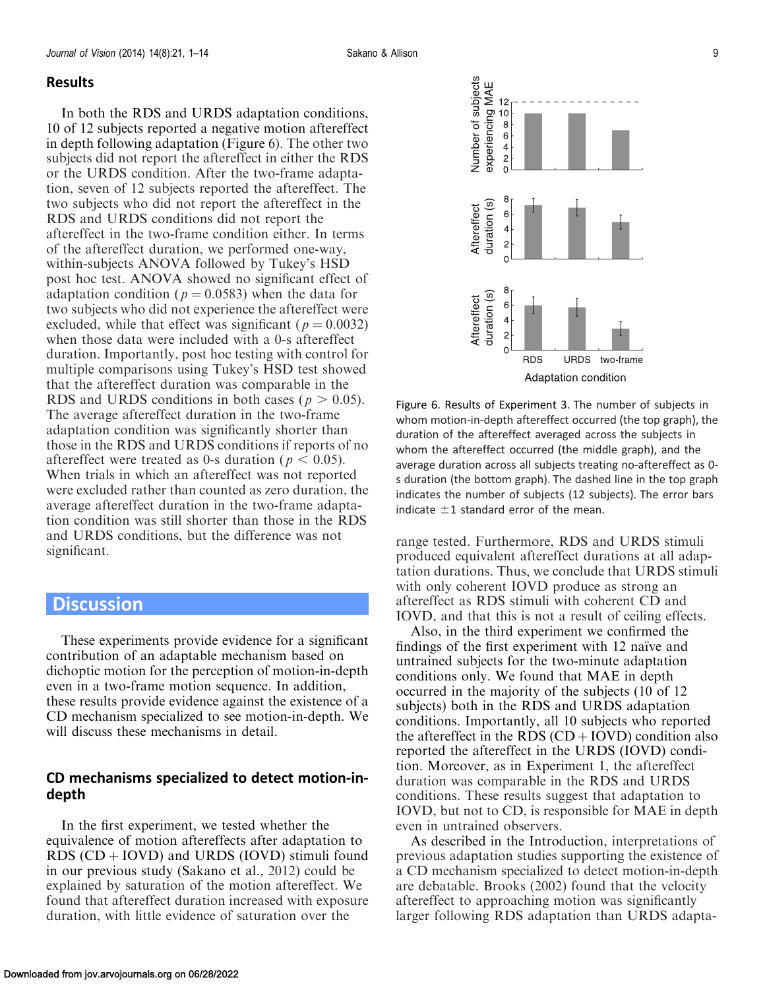### Results

In both the RDS and URDS adaptation conditions, 10 of 12 subjects reported a negative motion aftereffect in depth following adaptation (Figure 6). The other two subjects did not report the aftereffect in either the RDS or the URDS condition. After the two-frame adaptation, seven of 12 subjects reported the aftereffect. The two subjects who did not report the aftereffect in the RDS and URDS conditions did not report the aftereffect in the two-frame condition either. In terms of the aftereffect duration, we performed one-way, within-subjects ANOVA followed by Tukey's HSD post hoc test. ANOVA showed no significant effect of adaptation condition ( $p = 0.0583$ ) when the data for two subjects who did not experience the aftereffect were excluded, while that effect was significant ( $p = 0.0032$ ) when those data were included with a 0-s aftereffect duration. Importantly, post hoc testing with control for multiple comparisons using Tukey's HSD test showed that the aftereffect duration was comparable in the RDS and URDS conditions in both cases ( $p > 0.05$ ). The average aftereffect duration in the two-frame adaptation condition was significantly shorter than those in the RDS and URDS conditions if reports of no aftereffect were treated as 0-s duration ( $p < 0.05$ ). When trials in which an aftereffect was not reported were excluded rather than counted as zero duration, the average aftereffect duration in the two-frame adaptation condition was still shorter than those in the RDS and URDS conditions, but the difference was not significant.

# **Discussion**

These experiments provide evidence for a significant contribution of an adaptable mechanism based on dichoptic motion for the perception of motion-in-depth even in a two-frame motion sequence. In addition, these results provide evidence against the existence of a CD mechanism specialized to see motion-in-depth. We will discuss these mechanisms in detail.

### CD mechanisms specialized to detect motion-indepth

In the first experiment, we tested whether the equivalence of motion aftereffects after adaptation to RDS  $(CD + IOVD)$  and URDS (IOVD) stimuli found in our previous study (Sakano et al., [2012\)](#page-12-0) could be explained by saturation of the motion aftereffect. We found that aftereffect duration increased with exposure duration, with little evidence of saturation over the



Figure 6. Results of [Experiment 3](#page-7-0). The number of subjects in whom motion-in-depth aftereffect occurred (the top graph), the duration of the aftereffect averaged across the subjects in whom the aftereffect occurred (the middle graph), and the average duration across all subjects treating no-aftereffect as 0 s duration (the bottom graph). The dashed line in the top graph indicates the number of subjects (12 subjects). The error bars indicate  $\pm 1$  standard error of the mean.

range tested. Furthermore, RDS and URDS stimuli produced equivalent aftereffect durations at all adaptation durations. Thus, we conclude that URDS stimuli with only coherent **IOVD** produce as strong an aftereffect as RDS stimuli with coherent CD and IOVD, and that this is not a result of ceiling effects.

Also, in the third experiment we confirmed the findings of the first experiment with 12 naïve and untrained subjects for the two-minute adaptation conditions only. We found that MAE in depth occurred in the majority of the subjects (10 of 12 subjects) both in the RDS and URDS adaptation conditions. Importantly, all 10 subjects who reported the aftereffect in the RDS  $(CD + IOVD)$  condition also reported the aftereffect in the URDS (IOVD) condition. Moreover, as in [Experiment 1,](#page-3-0) the aftereffect duration was comparable in the RDS and URDS conditions. These results suggest that adaptation to IOVD, but not to CD, is responsible for MAE in depth even in untrained observers.

As described in the [Introduction](#page-0-0), interpretations of previous adaptation studies supporting the existence of a CD mechanism specialized to detect motion-in-depth are debatable. Brooks [\(2002](#page-11-0)) found that the velocity aftereffect to approaching motion was significantly larger following RDS adaptation than URDS adapta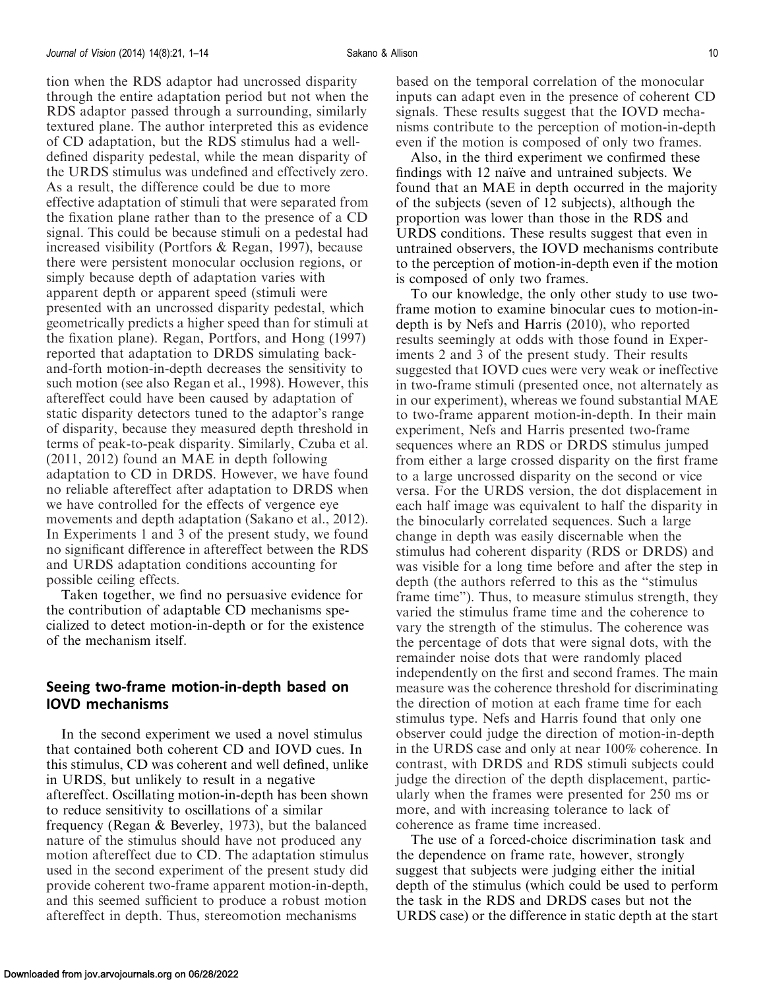tion when the RDS adaptor had uncrossed disparity through the entire adaptation period but not when the RDS adaptor passed through a surrounding, similarly textured plane. The author interpreted this as evidence of CD adaptation, but the RDS stimulus had a welldefined disparity pedestal, while the mean disparity of the URDS stimulus was undefined and effectively zero. As a result, the difference could be due to more effective adaptation of stimuli that were separated from the fixation plane rather than to the presence of a CD signal. This could be because stimuli on a pedestal had increased visibility (Portfors & Regan, [1997](#page-12-0)), because there were persistent monocular occlusion regions, or simply because depth of adaptation varies with apparent depth or apparent speed (stimuli were presented with an uncrossed disparity pedestal, which geometrically predicts a higher speed than for stimuli at the fixation plane). Regan, Portfors, and Hong [\(1997](#page-12-0)) reported that adaptation to DRDS simulating backand-forth motion-in-depth decreases the sensitivity to such motion (see also Regan et al., [1998](#page-12-0)). However, this aftereffect could have been caused by adaptation of static disparity detectors tuned to the adaptor's range of disparity, because they measured depth threshold in terms of peak-to-peak disparity. Similarly, Czuba et al. ([2011, 2012](#page-12-0)) found an MAE in depth following adaptation to CD in DRDS. However, we have found no reliable aftereffect after adaptation to DRDS when we have controlled for the effects of vergence eye movements and depth adaptation (Sakano et al., [2012](#page-12-0)). In [Experiments 1](#page-3-0) and [3](#page-7-0) of the present study, we found no significant difference in aftereffect between the RDS and URDS adaptation conditions accounting for possible ceiling effects.

Taken together, we find no persuasive evidence for the contribution of adaptable CD mechanisms specialized to detect motion-in-depth or for the existence of the mechanism itself.

### Seeing two-frame motion-in-depth based on IOVD mechanisms

In the second experiment we used a novel stimulus that contained both coherent CD and IOVD cues. In this stimulus, CD was coherent and well defined, unlike in URDS, but unlikely to result in a negative aftereffect. Oscillating motion-in-depth has been shown to reduce sensitivity to oscillations of a similar frequency (Regan & Beverley, [1973](#page-12-0)), but the balanced nature of the stimulus should have not produced any motion aftereffect due to CD. The adaptation stimulus used in the second experiment of the present study did provide coherent two-frame apparent motion-in-depth, and this seemed sufficient to produce a robust motion aftereffect in depth. Thus, stereomotion mechanisms

based on the temporal correlation of the monocular inputs can adapt even in the presence of coherent CD signals. These results suggest that the IOVD mechanisms contribute to the perception of motion-in-depth even if the motion is composed of only two frames.

Also, in the third experiment we confirmed these findings with 12 naïve and untrained subjects. We found that an MAE in depth occurred in the majority of the subjects (seven of 12 subjects), although the proportion was lower than those in the RDS and URDS conditions. These results suggest that even in untrained observers, the IOVD mechanisms contribute to the perception of motion-in-depth even if the motion is composed of only two frames.

To our knowledge, the only other study to use twoframe motion to examine binocular cues to motion-indepth is by Nefs and Harris [\(2010](#page-12-0)), who reported results seemingly at odds with those found in [Exper](#page-5-0)[iments 2](#page-5-0) and [3](#page-7-0) of the present study. Their results suggested that IOVD cues were very weak or ineffective in two-frame stimuli (presented once, not alternately as in our experiment), whereas we found substantial MAE to two-frame apparent motion-in-depth. In their main experiment, Nefs and Harris presented two-frame sequences where an RDS or DRDS stimulus jumped from either a large crossed disparity on the first frame to a large uncrossed disparity on the second or vice versa. For the URDS version, the dot displacement in each half image was equivalent to half the disparity in the binocularly correlated sequences. Such a large change in depth was easily discernable when the stimulus had coherent disparity (RDS or DRDS) and was visible for a long time before and after the step in depth (the authors referred to this as the ''stimulus frame time''). Thus, to measure stimulus strength, they varied the stimulus frame time and the coherence to vary the strength of the stimulus. The coherence was the percentage of dots that were signal dots, with the remainder noise dots that were randomly placed independently on the first and second frames. The main measure was the coherence threshold for discriminating the direction of motion at each frame time for each stimulus type. Nefs and Harris found that only one observer could judge the direction of motion-in-depth in the URDS case and only at near 100% coherence. In contrast, with DRDS and RDS stimuli subjects could judge the direction of the depth displacement, particularly when the frames were presented for 250 ms or more, and with increasing tolerance to lack of coherence as frame time increased.

The use of a forced-choice discrimination task and the dependence on frame rate, however, strongly suggest that subjects were judging either the initial depth of the stimulus (which could be used to perform the task in the RDS and DRDS cases but not the URDS case) or the difference in static depth at the start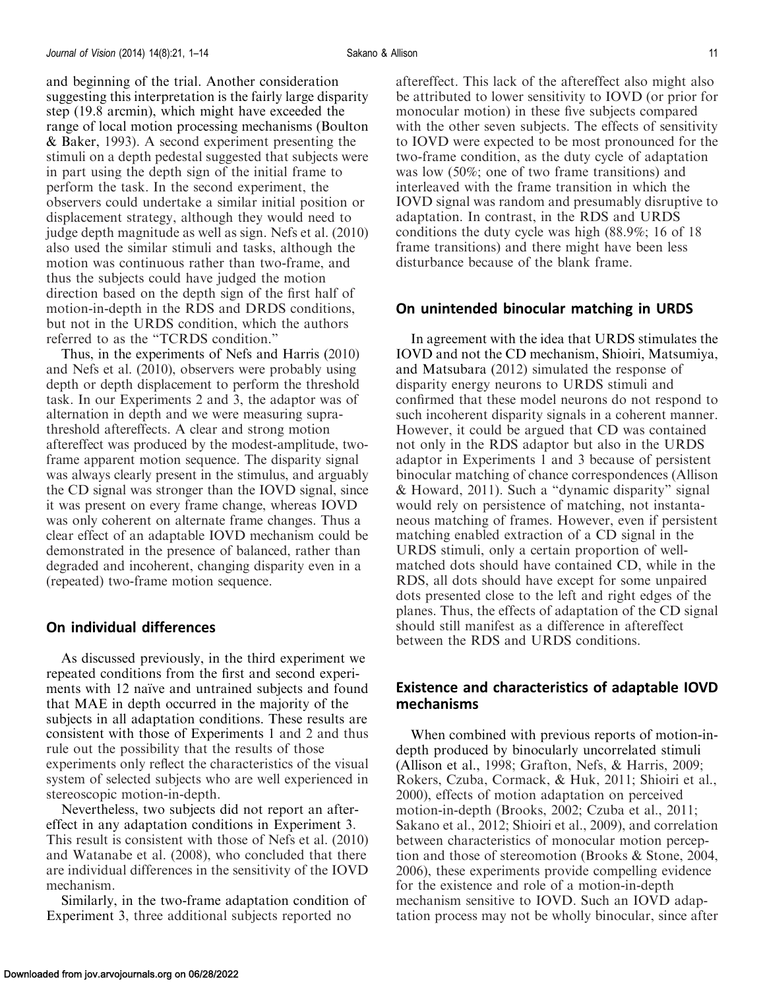and beginning of the trial. Another consideration suggesting this interpretation is the fairly large disparity step (19.8 arcmin), which might have exceeded the range of local motion processing mechanisms (Boulton & Baker, [1993](#page-11-0)). A second experiment presenting the stimuli on a depth pedestal suggested that subjects were in part using the depth sign of the initial frame to perform the task. In the second experiment, the observers could undertake a similar initial position or displacement strategy, although they would need to judge depth magnitude as well as sign. Nefs et al. ([2010](#page-12-0)) also used the similar stimuli and tasks, although the motion was continuous rather than two-frame, and thus the subjects could have judged the motion direction based on the depth sign of the first half of motion-in-depth in the RDS and DRDS conditions, but not in the URDS condition, which the authors referred to as the ''TCRDS condition.''

Thus, in the experiments of Nefs and Harris ([2010](#page-12-0)) and Nefs et al. [\(2010](#page-12-0)), observers were probably using depth or depth displacement to perform the threshold task. In our [Experiments 2](#page-5-0) and [3,](#page-7-0) the adaptor was of alternation in depth and we were measuring suprathreshold aftereffects. A clear and strong motion aftereffect was produced by the modest-amplitude, twoframe apparent motion sequence. The disparity signal was always clearly present in the stimulus, and arguably the CD signal was stronger than the IOVD signal, since it was present on every frame change, whereas IOVD was only coherent on alternate frame changes. Thus a clear effect of an adaptable IOVD mechanism could be demonstrated in the presence of balanced, rather than degraded and incoherent, changing disparity even in a (repeated) two-frame motion sequence.

### On individual differences

As discussed previously, in the third experiment we repeated conditions from the first and second experiments with 12 naïve and untrained subjects and found that MAE in depth occurred in the majority of the subjects in all adaptation conditions. These results are consistent with those of [Experiments 1](#page-3-0) and [2](#page-5-0) and thus rule out the possibility that the results of those experiments only reflect the characteristics of the visual system of selected subjects who are well experienced in stereoscopic motion-in-depth.

Nevertheless, two subjects did not report an aftereffect in any adaptation conditions in [Experiment 3](#page-7-0). This result is consistent with those of Nefs et al. ([2010](#page-12-0)) and Watanabe et al. [\(2008](#page-13-0)), who concluded that there are individual differences in the sensitivity of the IOVD mechanism.

Similarly, in the two-frame adaptation condition of [Experiment 3](#page-7-0), three additional subjects reported no

aftereffect. This lack of the aftereffect also might also be attributed to lower sensitivity to IOVD (or prior for monocular motion) in these five subjects compared with the other seven subjects. The effects of sensitivity to IOVD were expected to be most pronounced for the two-frame condition, as the duty cycle of adaptation was low (50%; one of two frame transitions) and interleaved with the frame transition in which the IOVD signal was random and presumably disruptive to adaptation. In contrast, in the RDS and URDS conditions the duty cycle was high (88.9%; 16 of 18 frame transitions) and there might have been less disturbance because of the blank frame.

### On unintended binocular matching in URDS

In agreement with the idea that URDS stimulates the IOVD and not the CD mechanism, Shioiri, Matsumiya, and Matsubara ([2012\)](#page-13-0) simulated the response of disparity energy neurons to URDS stimuli and confirmed that these model neurons do not respond to such incoherent disparity signals in a coherent manner. However, it could be argued that CD was contained not only in the RDS adaptor but also in the URDS adaptor in [Experiments 1](#page-3-0) and [3](#page-7-0) because of persistent binocular matching of chance correspondences (Allison & Howard, [2011](#page-11-0)). Such a ''dynamic disparity'' signal would rely on persistence of matching, not instantaneous matching of frames. However, even if persistent matching enabled extraction of a CD signal in the URDS stimuli, only a certain proportion of wellmatched dots should have contained CD, while in the RDS, all dots should have except for some unpaired dots presented close to the left and right edges of the planes. Thus, the effects of adaptation of the CD signal should still manifest as a difference in aftereffect between the RDS and URDS conditions.

# Existence and characteristics of adaptable IOVD mechanisms

When combined with previous reports of motion-indepth produced by binocularly uncorrelated stimuli (Allison et al., [1998;](#page-11-0) Grafton, Nefs, & Harris, [2009](#page-12-0); Rokers, Czuba, Cormack, & Huk, [2011;](#page-12-0) Shioiri et al., [2000\)](#page-13-0), effects of motion adaptation on perceived motion-in-depth (Brooks, [2002](#page-11-0); Czuba et al., [2011;](#page-12-0) Sakano et al., [2012;](#page-12-0) Shioiri et al., [2009](#page-13-0)), and correlation between characteristics of monocular motion perception and those of stereomotion (Brooks & Stone, [2004](#page-11-0), [2006\)](#page-11-0), these experiments provide compelling evidence for the existence and role of a motion-in-depth mechanism sensitive to IOVD. Such an IOVD adaptation process may not be wholly binocular, since after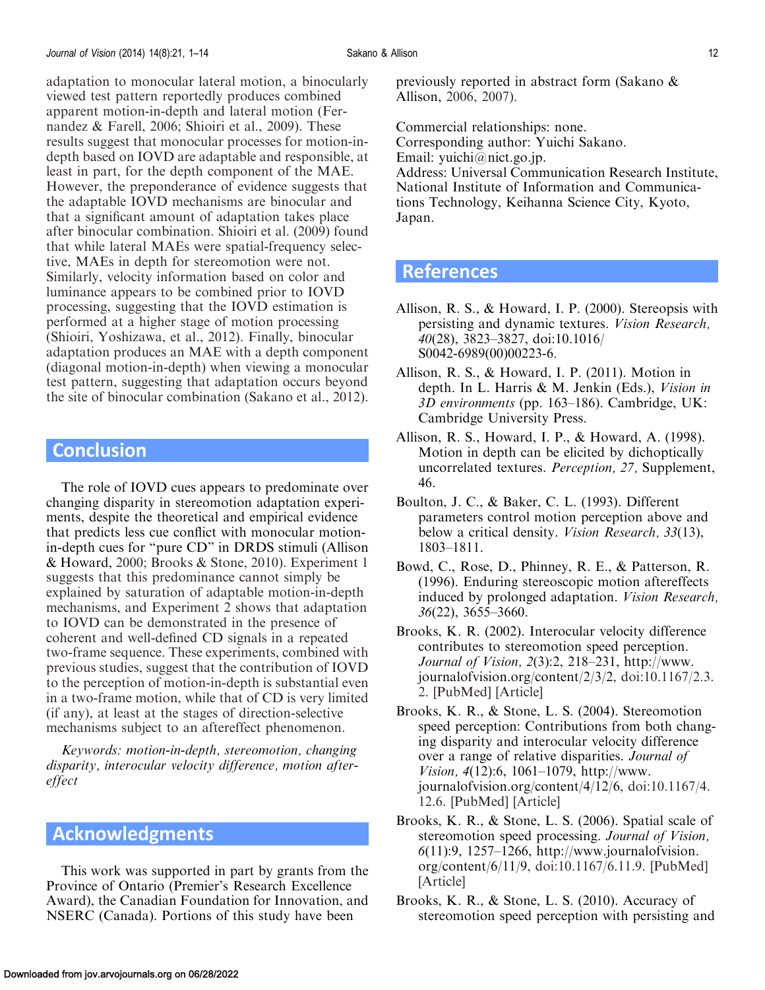<span id="page-11-0"></span>adaptation to monocular lateral motion, a binocularly viewed test pattern reportedly produces combined apparent motion-in-depth and lateral motion (Fernandez & Farell, [2006](#page-12-0); Shioiri et al., [2009\)](#page-13-0). These results suggest that monocular processes for motion-indepth based on IOVD are adaptable and responsible, at least in part, for the depth component of the MAE. However, the preponderance of evidence suggests that the adaptable IOVD mechanisms are binocular and that a significant amount of adaptation takes place after binocular combination. Shioiri et al. ([2009\)](#page-13-0) found that while lateral MAEs were spatial-frequency selective, MAEs in depth for stereomotion were not. Similarly, velocity information based on color and luminance appears to be combined prior to IOVD processing, suggesting that the IOVD estimation is performed at a higher stage of motion processing (Shioiri, Yoshizawa, et al., [2012](#page-13-0)). Finally, binocular adaptation produces an MAE with a depth component (diagonal motion-in-depth) when viewing a monocular test pattern, suggesting that adaptation occurs beyond the site of binocular combination (Sakano et al., [2012](#page-12-0)).

# **Conclusion**

The role of IOVD cues appears to predominate over changing disparity in stereomotion adaptation experiments, despite the theoretical and empirical evidence that predicts less cue conflict with monocular motionin-depth cues for ''pure CD'' in DRDS stimuli (Allison & Howard, 2000; Brooks & Stone, 2010). [Experiment 1](#page-3-0) suggests that this predominance cannot simply be explained by saturation of adaptable motion-in-depth mechanisms, and [Experiment 2](#page-5-0) shows that adaptation to IOVD can be demonstrated in the presence of coherent and well-defined CD signals in a repeated two-frame sequence. These experiments, combined with previous studies, suggest that the contribution of IOVD to the perception of motion-in-depth is substantial even in a two-frame motion, while that of CD is very limited (if any), at least at the stages of direction-selective mechanisms subject to an aftereffect phenomenon.

Keywords: motion-in-depth, stereomotion, changing disparity, interocular velocity difference, motion aftereffect

# Acknowledgments

This work was supported in part by grants from the Province of Ontario (Premier's Research Excellence Award), the Canadian Foundation for Innovation, and NSERC (Canada). Portions of this study have been

previously reported in abstract form (Sakano & Allison, [2006](#page-12-0), [2007\)](#page-12-0).

Commercial relationships: none. Corresponding author: Yuichi Sakano. Email: yuichi@nict.go.jp. Address: Universal Communication Research Institute, National Institute of Information and Communications Technology, Keihanna Science City, Kyoto, Japan.

# References

- Allison, R. S., & Howard, I. P. (2000). Stereopsis with persisting and dynamic textures. Vision Research, 40(28), 3823–3827, doi:10.1016/ S0042-6989(00)00223-6.
- Allison, R. S., & Howard, I. P. (2011). Motion in depth. In L. Harris & M. Jenkin (Eds.), Vision in 3D environments (pp. 163–186). Cambridge, UK: Cambridge University Press.
- Allison, R. S., Howard, I. P., & Howard, A. (1998). Motion in depth can be elicited by dichoptically uncorrelated textures. Perception, 27, Supplement, 46.
- Boulton, J. C., & Baker, C. L. (1993). Different parameters control motion perception above and below a critical density. Vision Research, 33(13), 1803–1811.
- Bowd, C., Rose, D., Phinney, R. E., & Patterson, R. (1996). Enduring stereoscopic motion aftereffects induced by prolonged adaptation. Vision Research, 36(22), 3655–3660.
- Brooks, K. R. (2002). Interocular velocity difference contributes to stereomotion speed perception. Journal of Vision, 2(3):2, 218–231, http://www. journalofvision.org/content/2/3/2, doi:10.1167/2.3. 2. [[PubMed](http://www.ncbi.nlm.nih.gov/pubmed/12678584)] [[Article\]](http://www.journalofvision.org/content/2/3/2.long)
- Brooks, K. R., & Stone, L. S. (2004). Stereomotion speed perception: Contributions from both changing disparity and interocular velocity difference over a range of relative disparities. Journal of Vision, 4(12):6, 1061–1079, http://www. journalofvision.org/content/4/12/6, doi:10.1167/4. 12.6. [[PubMed](http://www.ncbi.nlm.nih.gov/pubmed/15669911)] [[Article\]](http://www.journalofvision.org/content/14/12/6.long)
- Brooks, K. R., & Stone, L. S. (2006). Spatial scale of stereomotion speed processing. Journal of Vision, 6(11):9, 1257–1266, http://www.journalofvision. org/content/6/11/9, doi:10.1167/6.11.9. [[PubMed\]](http://www.ncbi.nlm.nih.gov/pubmed/17209733) [[Article\]](http://www.journalofvision.org/content/6/11/9.long)
- Brooks, K. R., & Stone, L. S. (2010). Accuracy of stereomotion speed perception with persisting and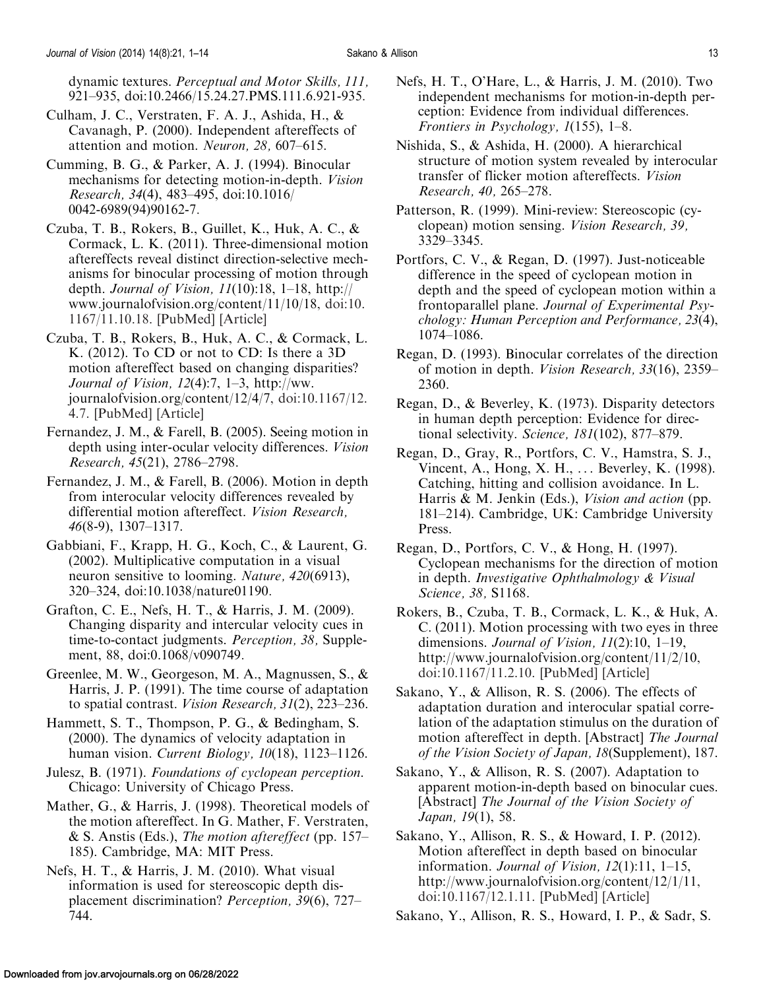<span id="page-12-0"></span>dynamic textures. Perceptual and Motor Skills, 111, 921–935, doi:10.2466/15.24.27.PMS.111.6.921-935.

- Culham, J. C., Verstraten, F. A. J., Ashida, H., & Cavanagh, P. (2000). Independent aftereffects of attention and motion. Neuron, 28, 607–615.
- Cumming, B. G., & Parker, A. J. (1994). Binocular mechanisms for detecting motion-in-depth. Vision Research, 34(4), 483–495, doi:10.1016/ 0042-6989(94)90162-7.
- Czuba, T. B., Rokers, B., Guillet, K., Huk, A. C., & Cormack, L. K. (2011). Three-dimensional motion aftereffects reveal distinct direction-selective mechanisms for binocular processing of motion through depth. Journal of Vision,  $11(10):18$ ,  $1-18$ , http:// www.journalofvision.org/content/11/10/18, doi:10. 1167/11.10.18. [[PubMed](http://www.ncbi.nlm.nih.gov/pubmed/21945967)] [[Article\]](http://www.journalofvision.org/content/11/10/18.long)
- Czuba, T. B., Rokers, B., Huk, A. C., & Cormack, L. K. (2012). To CD or not to CD: Is there a 3D motion aftereffect based on changing disparities? Journal of Vision,  $12(4)$ :7, 1–3, http://ww. journalofvision.org/content/12/4/7, doi:10.1167/12. 4.7. [\[PubMed\]](http://www.ncbi.nlm.nih.gov/pubmed/22508954) [\[Article](http://www.journalofvision.org/content/12/4/7.long)]
- Fernandez, J. M., & Farell, B. (2005). Seeing motion in depth using inter-ocular velocity differences. Vision Research, 45(21), 2786–2798.
- Fernandez, J. M., & Farell, B. (2006). Motion in depth from interocular velocity differences revealed by differential motion aftereffect. Vision Research, 46(8-9), 1307–1317.
- Gabbiani, F., Krapp, H. G., Koch, C., & Laurent, G. (2002). Multiplicative computation in a visual neuron sensitive to looming. *Nature*, 420(6913), 320–324, doi:10.1038/nature01190.
- Grafton, C. E., Nefs, H. T., & Harris, J. M. (2009). Changing disparity and intercular velocity cues in time-to-contact judgments. *Perception*, 38, Supplement, 88, doi:0.1068/v090749.
- Greenlee, M. W., Georgeson, M. A., Magnussen, S., & Harris, J. P. (1991). The time course of adaptation to spatial contrast. Vision Research, 31(2), 223–236.
- Hammett, S. T., Thompson, P. G., & Bedingham, S. (2000). The dynamics of velocity adaptation in human vision. Current Biology, 10(18), 1123–1126.
- Julesz, B. (1971). Foundations of cyclopean perception. Chicago: University of Chicago Press.
- Mather, G., & Harris, J. (1998). Theoretical models of the motion aftereffect. In G. Mather, F. Verstraten, & S. Anstis (Eds.), The motion aftereffect (pp. 157– 185). Cambridge, MA: MIT Press.
- Nefs, H. T., & Harris, J. M. (2010). What visual information is used for stereoscopic depth displacement discrimination? Perception, 39(6), 727– 744.
- Nefs, H. T., O'Hare, L., & Harris, J. M. (2010). Two independent mechanisms for motion-in-depth perception: Evidence from individual differences. Frontiers in Psychology, 1(155), 1–8.
- Nishida, S., & Ashida, H. (2000). A hierarchical structure of motion system revealed by interocular transfer of flicker motion aftereffects. Vision Research, 40, 265–278.
- Patterson, R. (1999). Mini-review: Stereoscopic (cyclopean) motion sensing. Vision Research, 39, 3329–3345.
- Portfors, C. V., & Regan, D. (1997). Just-noticeable difference in the speed of cyclopean motion in depth and the speed of cyclopean motion within a frontoparallel plane. Journal of Experimental Psychology: Human Perception and Performance, 23(4), 1074–1086.
- Regan, D. (1993). Binocular correlates of the direction of motion in depth. Vision Research, 33(16), 2359– 2360.
- Regan, D., & Beverley, K. (1973). Disparity detectors in human depth perception: Evidence for directional selectivity. Science, 181(102), 877–879.
- Regan, D., Gray, R., Portfors, C. V., Hamstra, S. J., Vincent, A., Hong, X. H., ... Beverley, K. (1998). Catching, hitting and collision avoidance. In L. Harris & M. Jenkin (Eds.), *Vision and action* (pp. 181–214). Cambridge, UK: Cambridge University Press.
- Regan, D., Portfors, C. V., & Hong, H. (1997). Cyclopean mechanisms for the direction of motion in depth. Investigative Ophthalmology & Visual Science, 38, S1168.
- Rokers, B., Czuba, T. B., Cormack, L. K., & Huk, A. C. (2011). Motion processing with two eyes in three dimensions. Journal of Vision, 11(2):10, 1–19, http://www.journalofvision.org/content/11/2/10, doi:10.1167/11.2.10. [\[PubMed\]](http://www.ncbi.nlm.nih.gov/pubmed/21317358) [\[Article\]](http://www.journalofvision.org/content/11/2/10.long)
- Sakano, Y., & Allison, R. S. (2006). The effects of adaptation duration and interocular spatial correlation of the adaptation stimulus on the duration of motion aftereffect in depth. [Abstract] The Journal of the Vision Society of Japan, 18(Supplement), 187.
- Sakano, Y., & Allison, R. S. (2007). Adaptation to apparent motion-in-depth based on binocular cues. [Abstract] The Journal of the Vision Society of Japan, 19(1), 58.
- Sakano, Y., Allison, R. S., & Howard, I. P. (2012). Motion aftereffect in depth based on binocular information. Journal of Vision, 12(1):11, 1–15, http://www.journalofvision.org/content/12/1/11, doi:10.1167/12.1.11. [\[PubMed\]](http://www.ncbi.nlm.nih.gov/pubmed/22251832) [\[Article\]](http://www.journalofvision.org/content/12/1/11.long)
- Sakano, Y., Allison, R. S., Howard, I. P., & Sadr, S.